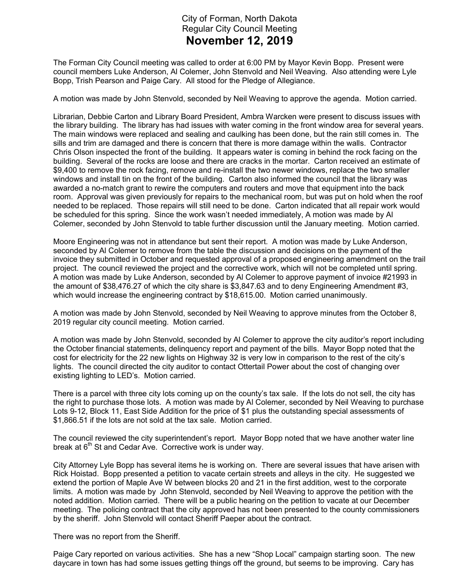## City of Forman, North Dakota Regular City Council Meeting November 12, 2019

The Forman City Council meeting was called to order at 6:00 PM by Mayor Kevin Bopp. Present were council members Luke Anderson, Al Colemer, John Stenvold and Neil Weaving. Also attending were Lyle Bopp, Trish Pearson and Paige Cary. All stood for the Pledge of Allegiance.

A motion was made by John Stenvold, seconded by Neil Weaving to approve the agenda. Motion carried.

Librarian, Debbie Carton and Library Board President, Ambra Warcken were present to discuss issues with the library building. The library has had issues with water coming in the front window area for several years. The main windows were replaced and sealing and caulking has been done, but the rain still comes in. The sills and trim are damaged and there is concern that there is more damage within the walls. Contractor Chris Olson inspected the front of the building. It appears water is coming in behind the rock facing on the building. Several of the rocks are loose and there are cracks in the mortar. Carton received an estimate of \$9,400 to remove the rock facing, remove and re-install the two newer windows, replace the two smaller windows and install tin on the front of the building. Carton also informed the council that the library was awarded a no-match grant to rewire the computers and routers and move that equipment into the back room. Approval was given previously for repairs to the mechanical room, but was put on hold when the roof needed to be replaced. Those repairs will still need to be done. Carton indicated that all repair work would be scheduled for this spring. Since the work wasn't needed immediately, A motion was made by Al Colemer, seconded by John Stenvold to table further discussion until the January meeting. Motion carried.

Moore Engineering was not in attendance but sent their report. A motion was made by Luke Anderson, seconded by Al Colemer to remove from the table the discussion and decisions on the payment of the invoice they submitted in October and requested approval of a proposed engineering amendment on the trail project. The council reviewed the project and the corrective work, which will not be completed until spring. A motion was made by Luke Anderson, seconded by Al Colemer to approve payment of invoice #21993 in the amount of \$38,476.27 of which the city share is \$3,847.63 and to deny Engineering Amendment #3, which would increase the engineering contract by \$18,615.00. Motion carried unanimously.

A motion was made by John Stenvold, seconded by Neil Weaving to approve minutes from the October 8, 2019 regular city council meeting. Motion carried.

A motion was made by John Stenvold, seconded by Al Colemer to approve the city auditor's report including the October financial statements, delinquency report and payment of the bills. Mayor Bopp noted that the cost for electricity for the 22 new lights on Highway 32 is very low in comparison to the rest of the city's lights. The council directed the city auditor to contact Ottertail Power about the cost of changing over existing lighting to LED's. Motion carried.

There is a parcel with three city lots coming up on the county's tax sale. If the lots do not sell, the city has the right to purchase those lots. A motion was made by Al Colemer, seconded by Neil Weaving to purchase Lots 9-12, Block 11, East Side Addition for the price of \$1 plus the outstanding special assessments of \$1,866.51 if the lots are not sold at the tax sale. Motion carried.

The council reviewed the city superintendent's report. Mayor Bopp noted that we have another water line break at  $6<sup>th</sup>$  St and Cedar Ave. Corrective work is under way.

City Attorney Lyle Bopp has several items he is working on. There are several issues that have arisen with Rick Hoistad. Bopp presented a petition to vacate certain streets and alleys in the city. He suggested we extend the portion of Maple Ave W between blocks 20 and 21 in the first addition, west to the corporate limits. A motion was made by John Stenvold, seconded by Neil Weaving to approve the petition with the noted addition. Motion carried. There will be a public hearing on the petition to vacate at our December meeting. The policing contract that the city approved has not been presented to the county commissioners by the sheriff. John Stenvold will contact Sheriff Paeper about the contract.

There was no report from the Sheriff.

Paige Cary reported on various activities. She has a new "Shop Local" campaign starting soon. The new daycare in town has had some issues getting things off the ground, but seems to be improving. Cary has